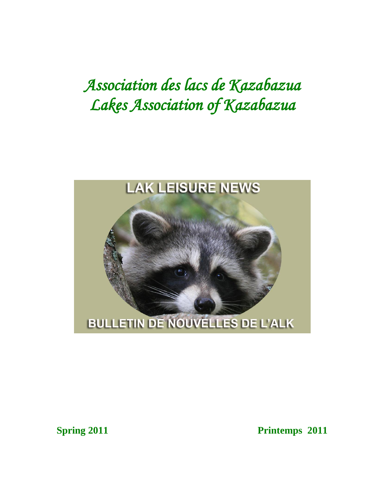# *Association des lacs de Kazabazua Lakes Association of Kazabazua*



**Spring 2011** Printemps 2011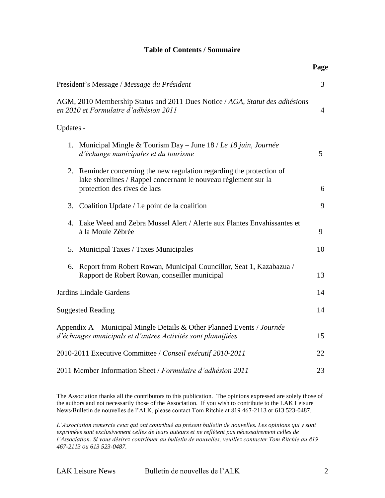#### **Table of Contents / Sommaire**

|                                                                                                                                                                             | Page |
|-----------------------------------------------------------------------------------------------------------------------------------------------------------------------------|------|
| President's Message / Message du Président                                                                                                                                  | 3    |
| AGM, 2010 Membership Status and 2011 Dues Notice / AGA, Statut des adhésions<br>en 2010 et Formulaire d'adhésion 2011                                                       | 4    |
| Updates -                                                                                                                                                                   |      |
| 1. Municipal Mingle & Tourism Day – June 18 / Le 18 juin, Journée<br>d'échange municipales et du tourisme                                                                   | 5    |
| 2.<br>Reminder concerning the new regulation regarding the protection of<br>lake shorelines / Rappel concernant le nouveau règlement sur la<br>protection des rives de lacs | 6    |
| 3.<br>Coalition Update / Le point de la coalition                                                                                                                           | 9    |
| Lake Weed and Zebra Mussel Alert / Alerte aux Plantes Envahissantes et<br>4.<br>à la Moule Zébrée                                                                           | 9    |
| Municipal Taxes / Taxes Municipales<br>5.                                                                                                                                   | 10   |
| Report from Robert Rowan, Municipal Councillor, Seat 1, Kazabazua /<br>6.<br>Rapport de Robert Rowan, conseiller municipal                                                  | 13   |
| Jardins Lindale Gardens                                                                                                                                                     | 14   |
| <b>Suggested Reading</b>                                                                                                                                                    | 14   |
| Appendix A - Municipal Mingle Details & Other Planned Events / Journée<br>d'échanges municipals et d'autres Activités sont plannifiées                                      | 15   |
| 2010-2011 Executive Committee / Conseil exécutif 2010-2011                                                                                                                  | 22   |
| 2011 Member Information Sheet / Formulaire d'adhésion 2011                                                                                                                  | 23   |

The Association thanks all the contributors to this publication. The opinions expressed are solely those of the authors and not necessarily those of the Association. If you wish to contribute to the LAK Leisure News/Bulletin de nouvelles de l"ALK, please contact Tom Ritchie at 819 467-2113 or 613 523-0487.

*L'Association remercie ceux qui ont contribué au présent bulletin de nouvelles. Les opinions qui y sont exprimées sont exclusivement celles de leurs auteurs et ne reflètent pas nécessairement celles de l'Association. Si vous désirez contribuer au bulletin de nouvelles, veuillez contacter Tom Ritchie au 819 467-2113 ou 613 523-0487.*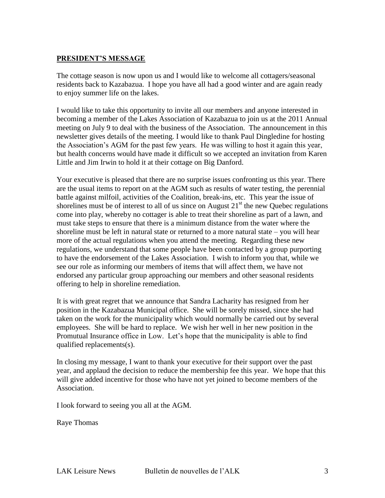#### **PRESIDENT'S MESSAGE**

The cottage season is now upon us and I would like to welcome all cottagers/seasonal residents back to Kazabazua. I hope you have all had a good winter and are again ready to enjoy summer life on the lakes.

I would like to take this opportunity to invite all our members and anyone interested in becoming a member of the Lakes Association of Kazabazua to join us at the 2011 Annual meeting on July 9 to deal with the business of the Association. The announcement in this newsletter gives details of the meeting. I would like to thank Paul Dingledine for hosting the Association"s AGM for the past few years. He was willing to host it again this year, but health concerns would have made it difficult so we accepted an invitation from Karen Little and Jim Irwin to hold it at their cottage on Big Danford.

Your executive is pleased that there are no surprise issues confronting us this year. There are the usual items to report on at the AGM such as results of water testing, the perennial battle against milfoil, activities of the Coalition, break-ins, etc. This year the issue of shorelines must be of interest to all of us since on August  $21<sup>st</sup>$  the new Quebec regulations come into play, whereby no cottager is able to treat their shoreline as part of a lawn, and must take steps to ensure that there is a minimum distance from the water where the shoreline must be left in natural state or returned to a more natural state – you will hear more of the actual regulations when you attend the meeting. Regarding these new regulations, we understand that some people have been contacted by a group purporting to have the endorsement of the Lakes Association. I wish to inform you that, while we see our role as informing our members of items that will affect them, we have not endorsed any particular group approaching our members and other seasonal residents offering to help in shoreline remediation.

It is with great regret that we announce that Sandra Lacharity has resigned from her position in the Kazabazua Municipal office. She will be sorely missed, since she had taken on the work for the municipality which would normally be carried out by several employees. She will be hard to replace. We wish her well in her new position in the Promutual Insurance office in Low. Let's hope that the municipality is able to find qualified replacements(s).

In closing my message, I want to thank your executive for their support over the past year, and applaud the decision to reduce the membership fee this year. We hope that this will give added incentive for those who have not yet joined to become members of the Association.

I look forward to seeing you all at the AGM.

Raye Thomas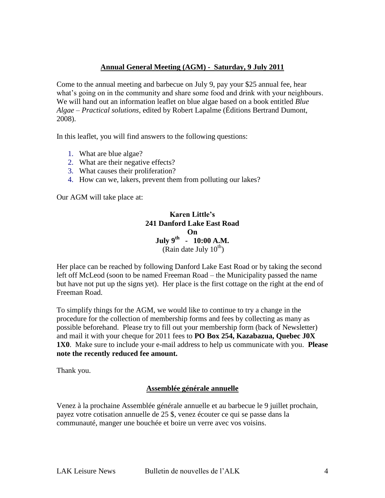#### **Annual General Meeting (AGM) - Saturday, 9 July 2011**

Come to the annual meeting and barbecue on July 9, pay your \$25 annual fee, hear what's going on in the community and share some food and drink with your neighbours. We will hand out an information leaflet on blue algae based on a book entitled *Blue Algae – Practical solutions,* edited by Robert Lapalme (Éditions Bertrand Dumont, 2008).

In this leaflet, you will find answers to the following questions:

- 1. What are blue algae?
- 2. What are their negative effects?
- 3. What causes their proliferation?
- 4. How can we, lakers, prevent them from polluting our lakes?

Our AGM will take place at:

**Karen Little's 241 Danford Lake East Road On July 9th - 10:00 A.M.** (Rain date July  $10^{th}$ )

Her place can be reached by following Danford Lake East Road or by taking the second left off McLeod (soon to be named Freeman Road – the Municipality passed the name but have not put up the signs yet). Her place is the first cottage on the right at the end of Freeman Road.

To simplify things for the AGM, we would like to continue to try a change in the procedure for the collection of membership forms and fees by collecting as many as possible beforehand. Please try to fill out your membership form (back of Newsletter) and mail it with your cheque for 2011 fees to **PO Box 254, Kazabazua, Quebec J0X 1X0**. Make sure to include your e-mail address to help us communicate with you. **Please note the recently reduced fee amount.** 

Thank you.

#### **Assemblée générale annuelle**

Venez à la prochaine Assemblée générale annuelle et au barbecue le 9 juillet prochain, payez votre cotisation annuelle de 25 \$, venez écouter ce qui se passe dans la communauté, manger une bouchée et boire un verre avec vos voisins.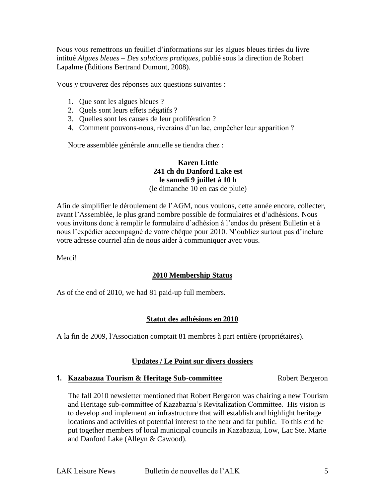Nous vous remettrons un feuillet d"informations sur les algues bleues tirées du livre intitué *Algues bleues – Des solutions pratiques,* publié sous la direction de Robert Lapalme (Éditions Bertrand Dumont, 2008).

Vous y trouverez des réponses aux questions suivantes :

- 1. Que sont les algues bleues ?
- 2. Quels sont leurs effets négatifs ?
- 3. Quelles sont les causes de leur prolifération ?
- 4. Comment pouvons-nous, riverains d'un lac, empêcher leur apparition ?

Notre assemblée générale annuelle se tiendra chez :

#### **Karen Little 241 ch du Danford Lake est le samedi 9 juillet à 10 h** (le dimanche 10 en cas de pluie)

Afin de simplifier le déroulement de l"AGM, nous voulons, cette année encore, collecter, avant l"Assemblée, le plus grand nombre possible de formulaires et d"adhésions. Nous vous invitons donc à remplir le formulaire d"adhésion à l"endos du présent Bulletin et à nous l"expédier accompagné de votre chèque pour 2010. N"oubliez surtout pas d"inclure votre adresse courriel afin de nous aider à communiquer avec vous.

Merci!

#### **2010 Membership Status**

As of the end of 2010, we had 81 paid-up full members.

#### **Statut des adhésions en 2010**

A la fin de 2009, l'Association comptait 81 membres à part entière (propriétaires).

#### **Updates / Le Point sur divers dossiers**

#### **1. Kazabazua Tourism & Heritage Sub-committee** Robert Bergeron

The fall 2010 newsletter mentioned that Robert Bergeron was chairing a new Tourism and Heritage sub-committee of Kazabazua"s Revitalization Committee. His vision is to develop and implement an infrastructure that will establish and highlight heritage locations and activities of potential interest to the near and far public. To this end he put together members of local municipal councils in Kazabazua, Low, Lac Ste. Marie and Danford Lake (Alleyn & Cawood).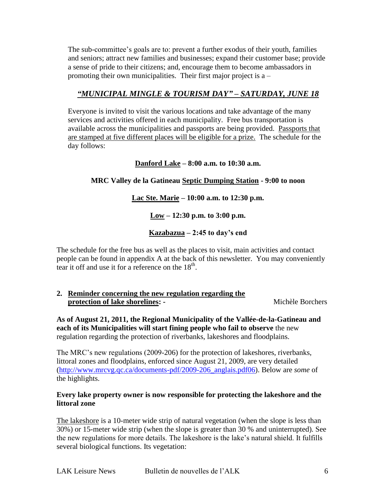The sub-committee"s goals are to: prevent a further exodus of their youth, families and seniors; attract new families and businesses; expand their customer base; provide a sense of pride to their citizens; and, encourage them to become ambassadors in promoting their own municipalities. Their first major project is a –

### *"MUNICIPAL MINGLE & TOURISM DAY" – SATURDAY, JUNE 18*

Everyone is invited to visit the various locations and take advantage of the many services and activities offered in each municipality. Free bus transportation is available across the municipalities and passports are being provided. Passports that are stamped at five different places will be eligible for a prize. The schedule for the day follows:

#### **Danford Lake – 8:00 a.m. to 10:30 a.m.**

#### **MRC Valley de la Gatineau Septic Dumping Station - 9:00 to noon**

#### **Lac Ste. Marie – 10:00 a.m. to 12:30 p.m.**

**Low – 12:30 p.m. to 3:00 p.m.**

#### **Kazabazua – 2:45 to day's end**

The schedule for the free bus as well as the places to visit, main activities and contact people can be found in appendix A at the back of this newsletter. You may conveniently tear it off and use it for a reference on the  $18<sup>th</sup>$ .

#### **2. Reminder concerning the new regulation regarding the protection of lake shorelines: - Michèle Borchers**

**As of August 21, 2011, the Regional Municipality of the Vallée-de-la-Gatineau and each of its Municipalities will start fining people who fail to observe** the new regulation regarding the protection of riverbanks, lakeshores and floodplains.

The MRC"s new regulations (2009-206) for the protection of lakeshores, riverbanks, littoral zones and floodplains, enforced since August 21, 2009, are very detailed [\(http://www.mrcvg.qc.ca/documents-pdf/2009-206\\_anglais.pdf06\)](http://www.mrcvg.qc.ca/documents-pdf/2009-206_anglais.pdf06). Below are *some* of the highlights.

#### **Every lake property owner is now responsible for protecting the lakeshore and the littoral zone**

The lakeshore is a 10-meter wide strip of natural vegetation (when the slope is less than 30%) or 15-meter wide strip (when the slope is greater than 30 % and uninterrupted). See the new regulations for more details. The lakeshore is the lake"s natural shield. It fulfills several biological functions. Its vegetation: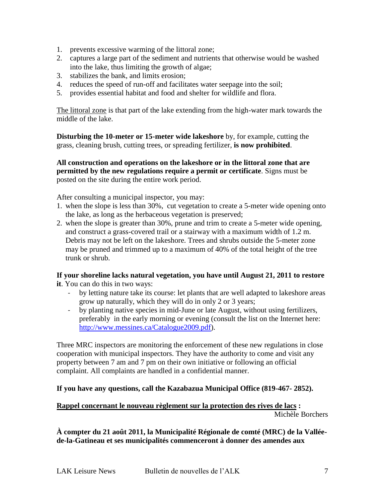- 1. prevents excessive warming of the littoral zone;
- 2. captures a large part of the sediment and nutrients that otherwise would be washed into the lake, thus limiting the growth of algae;
- 3. stabilizes the bank, and limits erosion;
- 4. reduces the speed of run-off and facilitates water seepage into the soil;
- 5. provides essential habitat and food and shelter for wildlife and flora.

The littoral zone is that part of the lake extending from the high-water mark towards the middle of the lake.

**Disturbing the 10-meter or 15-meter wide lakeshore** by, for example, cutting the grass, cleaning brush, cutting trees, or spreading fertilizer, **is now prohibited**.

**All construction and operations on the lakeshore or in the littoral zone that are permitted by the new regulations require a permit or certificate**. Signs must be posted on the site during the entire work period.

After consulting a municipal inspector, you may:

- 1. when the slope is less than 30%, cut vegetation to create a 5-meter wide opening onto the lake, as long as the herbaceous vegetation is preserved;
- 2. when the slope is greater than 30%, prune and trim to create a 5-meter wide opening, and construct a grass-covered trail or a stairway with a maximum width of 1.2 m. Debris may not be left on the lakeshore. Trees and shrubs outside the 5-meter zone may be pruned and trimmed up to a maximum of 40% of the total height of the tree trunk or shrub.

#### **If your shoreline lacks natural vegetation, you have until August 21, 2011 to restore**

- **it**. You can do this in two ways:
	- by letting nature take its course: let plants that are well adapted to lakeshore areas grow up naturally, which they will do in only 2 or 3 years;
	- by planting native species in mid-June or late August, without using fertilizers, preferably in the early morning or evening (consult the list on the Internet here: [http://www.messines.ca/Catalogue2009.pdf\)](http://www.messines.ca/Catalogue2009.pdf).

Three MRC inspectors are monitoring the enforcement of these new regulations in close cooperation with municipal inspectors. They have the authority to come and visit any property between 7 am and 7 pm on their own initiative or following an official complaint. All complaints are handled in a confidential manner.

#### **If you have any questions, call the Kazabazua Municipal Office (819-467- 2852).**

#### **Rappel concernant le nouveau règlement sur la protection des rives de lacs :** Michèle Borchers

**À compter du 21 août 2011, la Municipalité Régionale de comté (MRC) de la Valléede-la-Gatineau et ses municipalités commenceront à donner des amendes aux**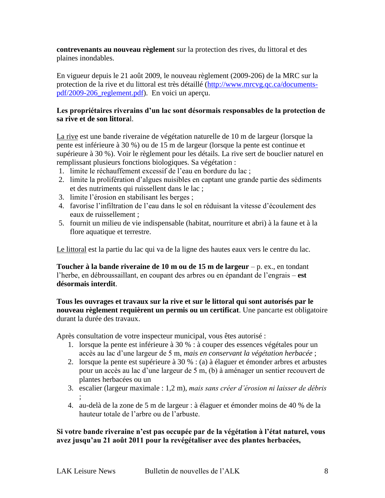**contrevenants au nouveau règlement** sur la protection des rives, du littoral et des plaines inondables.

En vigueur depuis le 21 août 2009, le nouveau règlement (2009-206) de la MRC sur la protection de la rive et du littoral est très détaillé [\(http://www.mrcvg.qc.ca/documents](http://www.mrcvg.qc.ca/documents-pdf/2009-206_reglement.pdf)[pdf/2009-206\\_reglement.pdf\)](http://www.mrcvg.qc.ca/documents-pdf/2009-206_reglement.pdf). En voici un aperçu.

#### **Les propriétaires riverains d'un lac sont désormais responsables de la protection de sa rive et de son littora**l.

La rive est une bande riveraine de végétation naturelle de 10 m de largeur (lorsque la pente est inférieure à 30 %) ou de 15 m de largeur (lorsque la pente est continue et supérieure à 30 %). Voir le règlement pour les détails. La rive sert de bouclier naturel en remplissant plusieurs fonctions biologiques. Sa végétation :

- 1. limite le réchauffement excessif de l"eau en bordure du lac ;
- 2. limite la prolifération d"algues nuisibles en captant une grande partie des sédiments et des nutriments qui ruissellent dans le lac ;
- 3. limite l"érosion en stabilisant les berges ;
- 4. favorise l"infiltration de l"eau dans le sol en réduisant la vitesse d"écoulement des eaux de ruissellement ;
- 5. fournit un milieu de vie indispensable (habitat, nourriture et abri) à la faune et à la flore aquatique et terrestre.

Le littoral est la partie du lac qui va de la ligne des hautes eaux vers le centre du lac.

**Toucher à la bande riveraine de 10 m ou de 15 m de largeur** – p. ex., en tondant l"herbe, en débroussaillant, en coupant des arbres ou en épandant de l"engrais – **est désormais interdit**.

#### **Tous les ouvrages et travaux sur la rive et sur le littoral qui sont autorisés par le nouveau règlement requièrent un permis ou un certificat**. Une pancarte est obligatoire durant la durée des travaux.

Après consultation de votre inspecteur municipal, vous êtes autorisé :

- 1. lorsque la pente est inférieure à 30 % : à couper des essences végétales pour un accès au lac d"une largeur de 5 m, *mais en conservant la végétation herbacée* ;
- 2. lorsque la pente est supérieure à 30 % : (a) à élaguer et émonder arbres et arbustes pour un accès au lac d"une largeur de 5 m, (b) à aménager un sentier recouvert de plantes herbacées ou un
- 3. escalier (largeur maximale : 1,2 m), *mais sans créer d'érosion ni laisser de débris* ;
- 4. au-delà de la zone de 5 m de largeur : à élaguer et émonder moins de 40 % de la hauteur totale de l"arbre ou de l"arbuste.

#### **Si votre bande riveraine n'est pas occupée par de la végétation à l'état naturel, vous avez jusqu'au 21 août 2011 pour la revégétaliser avec des plantes herbacées,**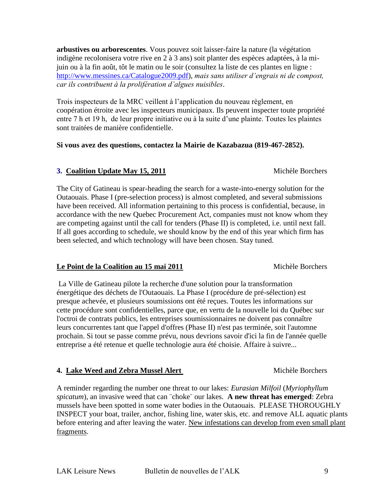**arbustives ou arborescentes**. Vous pouvez soit laisser-faire la nature (la végétation indigène recolonisera votre rive en 2 à 3 ans) soit planter des espèces adaptées, à la mijuin ou à la fin août, tôt le matin ou le soir (consultez la liste de ces plantes en ligne : [http://www.messines.ca/Catalogue2009.pdf\)](http://www.messines.ca/Catalogue2009.pdf), *mais sans utiliser d'engrais ni de compost, car ils contribuent à la prolifération d'algues nuisibles*.

Trois inspecteurs de la MRC veillent à l"application du nouveau règlement, en coopération étroite avec les inspecteurs municipaux. Ils peuvent inspecter toute propriété entre 7 h et 19 h, de leur propre initiative ou à la suite d'une plainte. Toutes les plaintes sont traitées de manière confidentielle.

#### **Si vous avez des questions, contactez la Mairie de Kazabazua (819-467-2852).**

#### **3. Coalition Update May 15, 2011** Michèle Borchers

The City of Gatineau is spear-heading the search for a waste-into-energy solution for the Outaouais. Phase I (pre-selection process) is almost completed, and several submissions have been received. All information pertaining to this process is confidential, because, in accordance with the new Quebec Procurement Act, companies must not know whom they are competing against until the call for tenders (Phase II) is completed, i.e. until next fall. If all goes according to schedule, we should know by the end of this year which firm has been selected, and which technology will have been chosen. Stay tuned.

#### Le Point de la Coalition au 15 mai 2011 Michèle Borchers

La Ville de Gatineau pilote la recherche d'une solution pour la transformation énergétique des déchets de l'Outaouais. La Phase I (procédure de pré-sélection) est presque achevée, et plusieurs soumissions ont été reçues. Toutes les informations sur cette procédure sont confidentielles, parce que, en vertu de la nouvelle loi du Québec sur l'octroi de contrats publics, les entreprises soumissionnaires ne doivent pas connaître leurs concurrentes tant que l'appel d'offres (Phase II) n'est pas terminée, soit l'automne prochain. Si tout se passe comme prévu, nous devrions savoir d'ici la fin de l'année quelle entreprise a été retenue et quelle technologie aura été choisie. Affaire à suivre...

#### **4. Lake Weed and Zebra Mussel Alert** Michèle Borchers

A reminder regarding the number one threat to our lakes: *Eurasian Milfoil* (*Myriophyllum spicatum*), an invasive weed that can ¨choke¨ our lakes. **A new threat has emerged**: Zebra mussels have been spotted in some water bodies in the Outaouais. PLEASE THOROUGHLY INSPECT your boat, trailer, anchor, fishing line, water skis, etc. and remove ALL aquatic plants before entering and after leaving the water. New infestations can develop from even small plant fragments.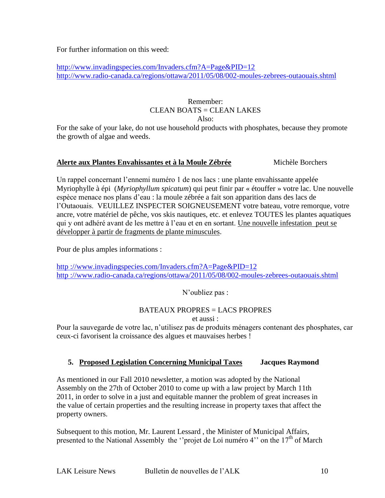For further information on this weed:

<http://www.invadingspecies.com/Invaders.cfm?A=Page&PID=12> <http://www.radio-canada.ca/regions/ottawa/2011/05/08/002-moules-zebrees-outaouais.shtml>

# Remember:  $CI$  EAN BOATS =  $CI$  EAN LAKES

Also:

For the sake of your lake, do not use household products with phosphates, because they promote the growth of algae and weeds.

#### **Alerte aux Plantes Envahissantes et à la Moule Zébrée** Michèle Borchers

Un rappel concernant l"ennemi numéro 1 de nos lacs : une plante envahissante appelée Myriophylle à épi (*Myriophyllum spicatum*) qui peut finir par « étouffer » votre lac. Une nouvelle espèce menace nos plans d"eau : la moule zébrée a fait son apparition dans des lacs de l"Outaouais. VEUILLEZ INSPECTER SOIGNEUSEMENT votre bateau, votre remorque, votre ancre, votre matériel de pêche, vos skis nautiques, etc. et enlevez TOUTES les plantes aquatiques qui y ont adhéré avant de les mettre à l"eau et en en sortant. Une nouvelle infestation peut se développer à partir de fragments de plante minuscules.

Pour de plus amples informations :

http [://www.invadingspecies.com/Invaders.cfm?A=Page&PID=12](http://www.invadingspecies.com/Invaders.cfm?A=Page&PID=12) http [://www.radio-canada.ca/regions/ottawa/2011/05/08/002-moules-zebrees-outaouais.shtml](http://www.radio-canada.ca/regions/ottawa/2011/05/08/002-moules-zebrees-outaouais.shtml)

N"oubliez pas :

#### BATEAUX PROPRES = LACS PROPRES

et aussi :

Pour la sauvegarde de votre lac, n"utilisez pas de produits ménagers contenant des phosphates, car ceux-ci favorisent la croissance des algues et mauvaises herbes !

#### **5. Proposed Legislation Concerning Municipal Taxes Jacques Raymond**

As mentioned in our Fall 2010 newsletter, a motion was adopted by the National Assembly on the 27th of October 2010 to come up with a law project by March 11th 2011, in order to solve in a just and equitable manner the problem of great increases in the value of certain properties and the resulting increase in property taxes that affect the property owners.

Subsequent to this motion, Mr. Laurent Lessard , the Minister of Municipal Affairs, presented to the National Assembly the "projet de Loi numéro 4" on the  $17<sup>th</sup>$  of March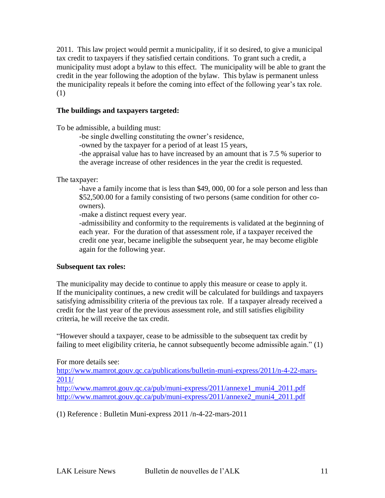2011. This law project would permit a municipality, if it so desired, to give a municipal tax credit to taxpayers if they satisfied certain conditions. To grant such a credit, a municipality must adopt a bylaw to this effect. The municipality will be able to grant the credit in the year following the adoption of the bylaw. This bylaw is permanent unless the municipality repeals it before the coming into effect of the following year"s tax role. (1)

#### **The buildings and taxpayers targeted:**

To be admissible, a building must:

-be single dwelling constituting the owner's residence,

-owned by the taxpayer for a period of at least 15 years,

-the appraisal value has to have increased by an amount that is 7.5 % superior to the average increase of other residences in the year the credit is requested.

The taxpayer:

-have a family income that is less than \$49, 000, 00 for a sole person and less than \$52,500.00 for a family consisting of two persons (same condition for other coowners).

-make a distinct request every year.

-admissibility and conformity to the requirements is validated at the beginning of each year. For the duration of that assessment role, if a taxpayer received the credit one year, became ineligible the subsequent year, he may become eligible again for the following year.

#### **Subsequent tax roles:**

The municipality may decide to continue to apply this measure or cease to apply it. If the municipality continues, a new credit will be calculated for buildings and taxpayers satisfying admissibility criteria of the previous tax role. If a taxpayer already received a credit for the last year of the previous assessment role, and still satisfies eligibility criteria, he will receive the tax credit.

"However should a taxpayer, cease to be admissible to the subsequent tax credit by failing to meet eligibility criteria, he cannot subsequently become admissible again." (1)

For more details see:

[http://www.mamrot.gouv.qc.ca/publications/bulletin-muni-express/2011/n-4-22-mars-](http://www.mamrot.gouv.qc.ca/publications/bulletin-muni-express/2011/n-4-22-mars-2011/)[2011/](http://www.mamrot.gouv.qc.ca/publications/bulletin-muni-express/2011/n-4-22-mars-2011/) [http://www.mamrot.gouv.qc.ca/pub/muni-express/2011/annexe1\\_muni4\\_2011.pdf](http://www.mamrot.gouv.qc.ca/pub/muni-express/2011/annexe1_muni4_2011.pdf)

[http://www.mamrot.gouv.qc.ca/pub/muni-express/2011/annexe2\\_muni4\\_2011.pdf](http://www.mamrot.gouv.qc.ca/pub/muni-express/2011/annexe2_muni4_2011.pdf)

(1) Reference : Bulletin Muni-express 2011 /n-4-22-mars-2011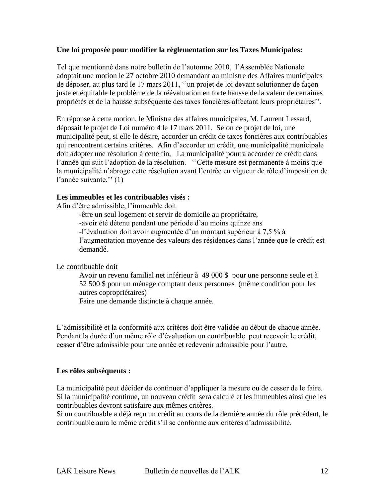#### **Une loi proposée pour modifier la règlementation sur les Taxes Municipales:**

Tel que mentionné dans notre bulletin de l"automne 2010, l"Assemblée Nationale adoptait une motion le 27 octobre 2010 demandant au ministre des Affaires municipales de déposer, au plus tard le 17 mars 2011, ""un projet de loi devant solutionner de façon juste et équitable le problème de la réévaluation en forte hausse de la valeur de certaines propriétés et de la hausse subséquente des taxes foncières affectant leurs propriétaires"".

En réponse à cette motion, le Ministre des affaires municipales, M. Laurent Lessard, déposait le projet de Loi numéro 4 le 17 mars 2011. Selon ce projet de loi, une municipalité peut, si elle le désire, accorder un crédit de taxes foncières aux contribuables qui rencontrent certains critères. Afin d"accorder un crédit, une municipalité municipale doit adopter une résolution à cette fin, La municipalité pourra accorder ce crédit dans l'année qui suit l'adoption de la résolution. "Cette mesure est permanente à moins que la municipalité n'abroge cette résolution avant l'entrée en vigueur de rôle d'imposition de l'année suivante." (1)

#### **Les immeubles et les contribuables visés :**

Afin d"être admissible, l"immeuble doit

-être un seul logement et servir de domicile au propriétaire, -avoir été détenu pendant une période d"au moins quinze ans -l"évaluation doit avoir augmentée d"un montant supérieur à 7,5 % à l"augmentation moyenne des valeurs des résidences dans l"année que le crédit est demandé.

Le contribuable doit

Avoir un revenu familial net inférieur à 49 000 \$ pour une personne seule et à 52 500 \$ pour un ménage comptant deux personnes (même condition pour les autres copropriétaires) Faire une demande distincte à chaque année.

L"admissibilité et la conformité aux critères doit être validée au début de chaque année. Pendant la durée d'un même rôle d'évaluation un contribuable peut recevoir le crédit, cesser d"être admissible pour une année et redevenir admissible pour l"autre.

#### **Les rôles subséquents :**

La municipalité peut décider de continuer d'appliquer la mesure ou de cesser de le faire. Si la municipalité continue, un nouveau crédit sera calculé et les immeubles ainsi que les contribuables devront satisfaire aux mêmes critères.

Si un contribuable a déjà reçu un crédit au cours de la dernière année du rôle précédent, le contribuable aura le même crédit s"il se conforme aux critères d"admissibilité.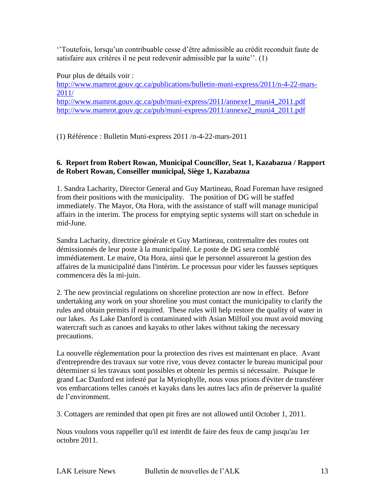""Toutefois, lorsqu"un contribuable cesse d"être admissible au crédit reconduit faute de satisfaire aux critères il ne peut redevenir admissible par la suite". (1)

Pour plus de détails voir : [http://www.mamrot.gouv.qc.ca/publications/bulletin-muni-express/2011/n-4-22-mars-](http://www.mamrot.gouv.qc.ca/publications/bulletin-muni-express/2011/n-4-22-mars-2011/)[2011/](http://www.mamrot.gouv.qc.ca/publications/bulletin-muni-express/2011/n-4-22-mars-2011/) [http://www.mamrot.gouv.qc.ca/pub/muni-express/2011/annexe1\\_muni4\\_2011.pdf](http://www.mamrot.gouv.qc.ca/pub/muni-express/2011/annexe1_muni4_2011.pdf) [http://www.mamrot.gouv.qc.ca/pub/muni-express/2011/annexe2\\_muni4\\_2011.pdf](http://www.mamrot.gouv.qc.ca/pub/muni-express/2011/annexe2_muni4_2011.pdf)

(1) Référence : Bulletin Muni-express 2011 /n-4-22-mars-2011

#### **6. Report from Robert Rowan, Municipal Councillor, Seat 1, Kazabazua / Rapport de Robert Rowan, Conseiller municipal, Siège 1, Kazabazua**

1. Sandra Lacharity, Director General and Guy Martineau, Road Foreman have resigned from their positions with the municipality. The position of DG will be staffed immediately. The Mayor, Ota Hora, with the assistance of staff will manage municipal affairs in the interim. The process for emptying septic systems will start on schedule in mid-June.

Sandra Lacharity, directrice générale et Guy Martineau, contremaître des routes ont démissionnés de leur poste à la municipalité. Le poste de DG sera comblé immédiatement. Le maire, Ota Hora, ainsi que le personnel assureront la gestion des affaires de la municipalité dans l'intérim. Le processus pour vider les fausses septiques commencera dès la mi-juin.

2. The new provincial regulations on shoreline protection are now in effect. Before undertaking any work on your shoreline you must contact the municipality to clarify the rules and obtain permits if required. These rules will help restore the quality of water in our lakes. As Lake Danford is contaminated with Asian Milfoil you must avoid moving watercraft such as canoes and kayaks to other lakes without taking the necessary precautions.

La nouvelle réglementation pour la protection des rives est maintenant en place. Avant d'entreprendre des travaux sur votre rive, vous devez contacter le bureau municipal pour déterminer si les travaux sont possibles et obtenir les permis si nécessaire. Puisque le grand Lac Danford est infesté par la Myriophylle, nous vous prions d'éviter de transférer vos embarcations telles canoés et kayaks dans les autres lacs afin de préserver la qualité de l"environment.

3. Cottagers are reminded that open pit fires are not allowed until October 1, 2011.

Nous voulons vous rappeller qu'il est interdit de faire des feux de camp jusqu'au 1er octobre 2011.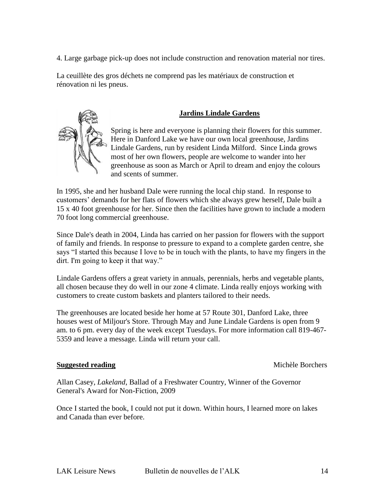4. Large garbage pick-up does not include construction and renovation material nor tires.

La ceuillète des gros déchets ne comprend pas les matériaux de construction et rénovation ni les pneus.

#### **Jardins Lindale Gardens**

Spring is here and everyone is planning their flowers for this summer. Here in Danford Lake we have our own local greenhouse, Jardins Lindale Gardens, run by resident Linda Milford. Since Linda grows most of her own flowers, people are welcome to wander into her greenhouse as soon as March or April to dream and enjoy the colours and scents of summer.

In 1995, she and her husband Dale were running the local chip stand. In response to customers" demands for her flats of flowers which she always grew herself, Dale built a 15 x 40 foot greenhouse for her. Since then the facilities have grown to include a modern 70 foot long commercial greenhouse.

Since Dale's death in 2004, Linda has carried on her passion for flowers with the support of family and friends. In response to pressure to expand to a complete garden centre, she says "I started this because I love to be in touch with the plants, to have my fingers in the dirt. I'm going to keep it that way."

Lindale Gardens offers a great variety in annuals, perennials, herbs and vegetable plants, all chosen because they do well in our zone 4 climate. Linda really enjoys working with customers to create custom baskets and planters tailored to their needs.

The greenhouses are located beside her home at 57 Route 301, Danford Lake, three houses west of Miljour's Store. Through May and June Lindale Gardens is open from 9 am. to 6 pm. every day of the week except Tuesdays. For more information call 819-467- 5359 and leave a message. Linda will return your call.

#### **Suggested reading** Michèle Borchers

Allan Casey, *Lakeland*, Ballad of a Freshwater Country, Winner of the Governor General's Award for Non-Fiction, 2009

Once I started the book, I could not put it down. Within hours, I learned more on lakes and Canada than ever before.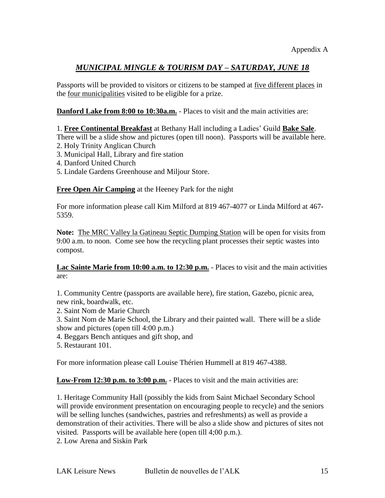# *MUNICIPAL MINGLE & TOURISM DAY – SATURDAY, JUNE 18*

Passports will be provided to visitors or citizens to be stamped at <u>five different places</u> in the four municipalities visited to be eligible for a prize.

**Danford Lake from 8:00 to 10:30a.m.** - Places to visit and the main activities are:

1. **Free Continental Breakfast** at Bethany Hall including a Ladies" Guild **Bake Sale**.

There will be a slide show and pictures (open till noon). Passports will be available here. 2. Holy Trinity Anglican Church

- 3. Municipal Hall, Library and fire station
- 4. Danford United Church
- 5. Lindale Gardens Greenhouse and Miljour Store.

**Free Open Air Camping** at the Heeney Park for the night

For more information please call Kim Milford at 819 467-4077 or Linda Milford at 467- 5359.

**Note:** The MRC Valley la Gatineau Septic Dumping Station will be open for visits from 9:00 a.m. to noon. Come see how the recycling plant processes their septic wastes into compost.

#### **Lac Sainte Marie from 10:00 a.m. to 12:30 p.m.** - Places to visit and the main activities are:

1. Community Centre (passports are available here), fire station, Gazebo, picnic area, new rink, boardwalk, etc.

- 2. Saint Nom de Marie Church
- 3. Saint Nom de Marie School, the Library and their painted wall. There will be a slide show and pictures (open till 4:00 p.m.)
- 4. Beggars Bench antiques and gift shop, and
- 5. Restaurant 101.

For more information please call Louise Thérien Hummell at 819 467-4388.

**Low-From 12:30 p.m. to 3:00 p.m.** - Places to visit and the main activities are:

1. Heritage Community Hall (possibly the kids from Saint Michael Secondary School will provide environment presentation on encouraging people to recycle) and the seniors will be selling lunches (sandwiches, pastries and refreshments) as well as provide a demonstration of their activities. There will be also a slide show and pictures of sites not visited. Passports will be available here (open till 4;00 p.m.). 2. Low Arena and Siskin Park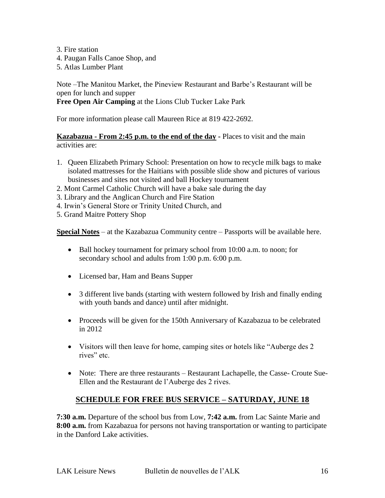- 3. Fire station
- 4. Paugan Falls Canoe Shop, and
- 5. Atlas Lumber Plant

Note –The Manitou Market, the Pineview Restaurant and Barbe"s Restaurant will be open for lunch and supper

**Free Open Air Camping** at the Lions Club Tucker Lake Park

For more information please call Maureen Rice at 819 422-2692.

**Kazabazua - From 2:45 p.m. to the end of the day -** Places to visit and the main activities are:

- 1. Queen Elizabeth Primary School: Presentation on how to recycle milk bags to make isolated mattresses for the Haitians with possible slide show and pictures of various businesses and sites not visited and ball Hockey tournament
- 2. Mont Carmel Catholic Church will have a bake sale during the day
- 3. Library and the Anglican Church and Fire Station
- 4. Irwin"s General Store or Trinity United Church, and
- 5. Grand Maitre Pottery Shop

**Special Notes** – at the Kazabazua Community centre – Passports will be available here.

- Ball hockey tournament for primary school from 10:00 a.m. to noon; for secondary school and adults from 1:00 p.m. 6:00 p.m.
- Licensed bar, Ham and Beans Supper
- 3 different live bands (starting with western followed by Irish and finally ending with youth bands and dance) until after midnight.
- Proceeds will be given for the 150th Anniversary of Kazabazua to be celebrated in 2012
- Visitors will then leave for home, camping sites or hotels like "Auberge des 2 rives" etc.
- Note: There are three restaurants Restaurant Lachapelle, the Casse- Croute Sue-Ellen and the Restaurant de l"Auberge des 2 rives.

# **SCHEDULE FOR FREE BUS SERVICE – SATURDAY, JUNE 18**

**7:30 a.m.** Departure of the school bus from Low, **7:42 a.m.** from Lac Sainte Marie and **8:00 a.m.** from Kazabazua for persons not having transportation or wanting to participate in the Danford Lake activities.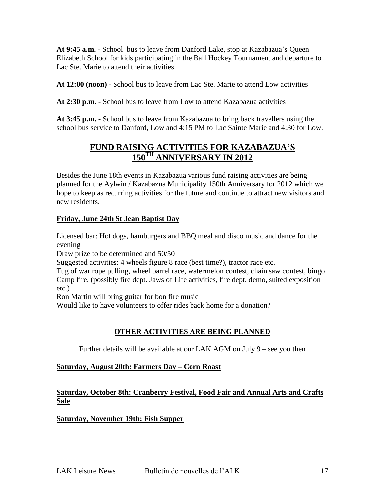**At 9:45 a.m.** - School bus to leave from Danford Lake, stop at Kazabazua"s Queen Elizabeth School for kids participating in the Ball Hockey Tournament and departure to Lac Ste. Marie to attend their activities

**At 12:00 (noon)** - School bus to leave from Lac Ste. Marie to attend Low activities

**At 2:30 p.m.** - School bus to leave from Low to attend Kazabazua activities

**At 3:45 p.m.** - School bus to leave from Kazabazua to bring back travellers using the school bus service to Danford, Low and 4:15 PM to Lac Sainte Marie and 4:30 for Low.

# **FUND RAISING ACTIVITIES FOR KAZABAZUA'S 150TH ANNIVERSARY IN 2012**

Besides the June 18th events in Kazabazua various fund raising activities are being planned for the Aylwin / Kazabazua Municipality 150th Anniversary for 2012 which we hope to keep as recurring activities for the future and continue to attract new visitors and new residents.

### **Friday, June 24th St Jean Baptist Day**

Licensed bar: Hot dogs, hamburgers and BBQ meal and disco music and dance for the evening

Draw prize to be determined and 50/50

Suggested activities: 4 wheels figure 8 race (best time?), tractor race etc.

Tug of war rope pulling, wheel barrel race, watermelon contest, chain saw contest, bingo Camp fire, (possibly fire dept. Jaws of Life activities, fire dept. demo, suited exposition etc.)

Ron Martin will bring guitar for bon fire music

Would like to have volunteers to offer rides back home for a donation?

# **OTHER ACTIVITIES ARE BEING PLANNED**

Further details will be available at our LAK AGM on July 9 – see you then

#### **Saturday, August 20th: Farmers Day – Corn Roast**

#### **Saturday, October 8th: Cranberry Festival, Food Fair and Annual Arts and Crafts Sale**

#### **Saturday, November 19th: Fish Supper**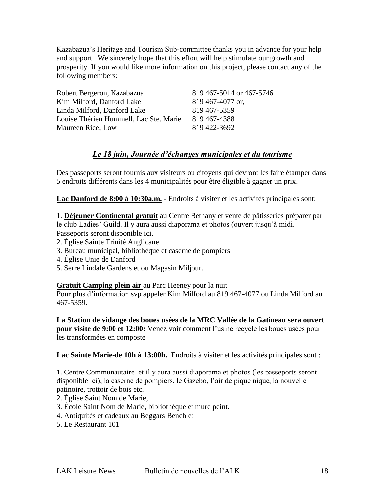Kazabazua"s Heritage and Tourism Sub-committee thanks you in advance for your help and support. We sincerely hope that this effort will help stimulate our growth and prosperity. If you would like more information on this project, please contact any of the following members:

| Robert Bergeron, Kazabazua             | 819 467-5014 or 467-5746 |
|----------------------------------------|--------------------------|
| Kim Milford, Danford Lake              | 819 467-4077 or,         |
| Linda Milford, Danford Lake            | 819 467-5359             |
| Louise Thérien Hummell, Lac Ste. Marie | 819 467-4388             |
| Maureen Rice, Low                      | 819 422-3692             |

### *Le 18 juin, Journée d'échanges municipales et du tourisme*

Des passeports seront fournis aux visiteurs ou citoyens qui devront les faire étamper dans 5 endroits différents dans les 4 municipalités pour être éligible à gagner un prix.

**Lac Danford de 8:00 à 10:30a.m.** - Endroits à visiter et les activités principales sont:

1. **Déjeuner Continental gratuit** au Centre Bethany et vente de pâtisseries préparer par le club Ladies' Guild. Il y aura aussi diaporama et photos (ouvert jusqu'à midi. Passeports seront disponible ici.

- 2. Église Sainte Trinité Anglicane
- 3. Bureau municipal, bibliothèque et caserne de pompiers
- 4. Église Unie de Danford
- 5. Serre Lindale Gardens et ou Magasin Miljour.

#### **Gratuit Camping plein air** au Parc Heeney pour la nuit

Pour plus d"information svp appeler Kim Milford au 819 467-4077 ou Linda Milford au 467-5359.

**La Station de vidange des boues usées de la MRC Vallée de la Gatineau sera ouvert pour visite de 9:00 et 12:00:** Venez voir comment l'usine recycle les boues usées pour les transformées en composte

**Lac Sainte Marie-de 10h à 13:00h.** Endroits à visiter et les activités principales sont :

1. Centre Communautaire et il y aura aussi diaporama et photos (les passeports seront disponible ici), la caserne de pompiers, le Gazebo, l"air de pique nique, la nouvelle patinoire, trottoir de bois etc.

- 2. Église Saint Nom de Marie,
- 3. École Saint Nom de Marie, bibliothèque et mure peint.
- 4. Antiquités et cadeaux au Beggars Bench et
- 5. Le Restaurant 101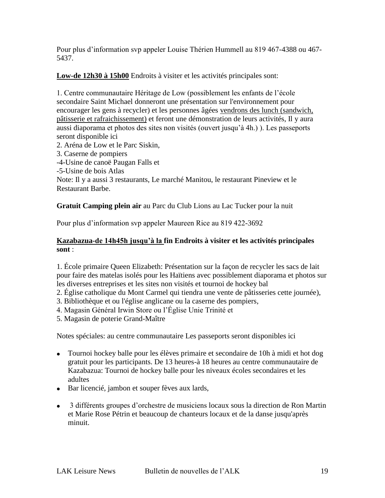Pour plus d"information svp appeler Louise Thérien Hummell au 819 467-4388 ou 467- 5437.

**Low-de 12h30 à 15h00** Endroits à visiter et les activités principales sont:

1. Centre communautaire Héritage de Low (possiblement les enfants de l"école secondaire Saint Michael donneront une présentation sur l'environnement pour encourager les gens à recycler) et les personnes âgées vendrons des lunch (sandwich, pâtisserie et rafraichissement) et feront une démonstration de leurs activités, Il y aura aussi diaporama et photos des sites non visités (ouvert jusqu"à 4h.) ). Les passeports seront disponible ici

- 2. Aréna de Low et le Parc Siskin,
- 3. Caserne de pompiers
- -4-Usine de canoë Paugan Falls et
- -5-Usine de bois Atlas

Note: Il y a aussi 3 restaurants, Le marché Manitou, le restaurant Pineview et le Restaurant Barbe.

**Gratuit Camping plein air** au Parc du Club Lions au Lac Tucker pour la nuit

Pour plus d"information svp appeler Maureen Rice au 819 422-3692

#### **Kazabazua-de 14h45h jusqu'à la fin Endroits à visiter et les activités principales sont** :

1. École primaire Queen Elizabeth: Présentation sur la façon de recycler les sacs de lait pour faire des matelas isolés pour les Haïtiens avec possiblement diaporama et photos sur les diverses entreprises et les sites non visités et tournoi de hockey bal

2. Église catholique du Mont Carmel qui tiendra une vente de pâtisseries cette journée),

- 3. Bibliothèque et ou l'église anglicane ou la caserne des pompiers,
- 4. Magasin Général Irwin Store ou l"Église Unie Trinité et
- 5. Magasin de poterie Grand-Maître

Notes spéciales: au centre communautaire Les passeports seront disponibles ici

- Tournoi hockey balle pour les élèves primaire et secondaire de 10h à midi et hot dog gratuit pour les participants. De 13 heures-à 18 heures au centre communautaire de Kazabazua: Tournoi de hockey balle pour les niveaux écoles secondaires et les adultes
- Bar licencié, jambon et souper fèves aux lards,
- 3 différents groupes d"orchestre de musiciens locaux sous la direction de Ron Martin et Marie Rose Pétrin et beaucoup de chanteurs locaux et de la danse jusqu'après minuit.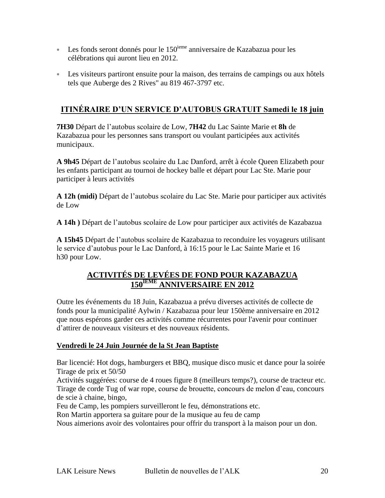- **Les fonds seront donnés pour le 150**<sup>ieme</sup> anniversaire de Kazabazua pour les célébrations qui auront lieu en 2012.
- Les visiteurs partiront ensuite pour la maison, des terrains de campings ou aux hôtels tels que Auberge des 2 Rives" au 819 467-3797 etc.

# **ITINÉRAIRE D'UN SERVICE D'AUTOBUS GRATUIT Samedi le 18 juin**

**7H30** Départ de l"autobus scolaire de Low, **7H42** du Lac Sainte Marie et **8h** de Kazabazua pour les personnes sans transport ou voulant participées aux activités municipaux.

**A 9h45** Départ de l"autobus scolaire du Lac Danford, arrêt à école Queen Elizabeth pour les enfants participant au tournoi de hockey balle et départ pour Lac Ste. Marie pour participer à leurs activités

**A 12h (midi)** Départ de l"autobus scolaire du Lac Ste. Marie pour participer aux activités de Low

**A 14h )** Départ de l"autobus scolaire de Low pour participer aux activités de Kazabazua

**A 15h45** Départ de l"autobus scolaire de Kazabazua to reconduire les voyageurs utilisant le service d"autobus pour le Lac Danford, à 16:15 pour le Lac Sainte Marie et 16 h30 pour Low.

# **ACTIVITÉS DE LEVÉES DE FOND POUR KAZABAZUA 150IEME ANNIVERSAIRE EN 2012**

Outre les événements du 18 Juin, Kazabazua a prévu diverses activités de collecte de fonds pour la municipalité Aylwin / Kazabazua pour leur 150ème anniversaire en 2012 que nous espérons garder ces activités comme récurrentes pour l'avenir pour continuer d"attirer de nouveaux visiteurs et des nouveaux résidents.

#### **Vendredi le 24 Juin Journée de la St Jean Baptiste**

Bar licencié: Hot dogs, hamburgers et BBQ, musique disco music et dance pour la soirée Tirage de prix et 50/50

Activités suggérées: course de 4 roues figure 8 (meilleurs temps?), course de tracteur etc. Tirage de corde Tug of war rope, course de brouette, concours de melon d"eau, concours de scie à chaine, bingo,

Feu de Camp, les pompiers surveilleront le feu, démonstrations etc.

Ron Martin apportera sa guitare pour de la musique au feu de camp

Nous aimerions avoir des volontaires pour offrir du transport à la maison pour un don.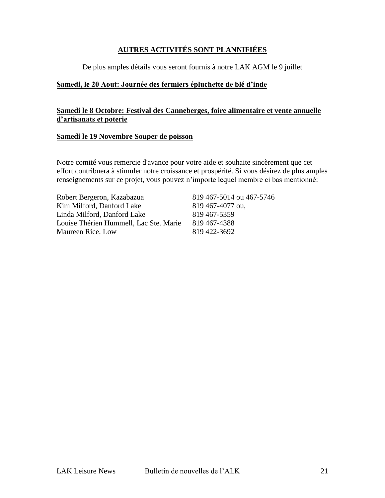#### **AUTRES ACTIVITÉS SONT PLANNIFIÉES**

De plus amples détails vous seront fournis à notre LAK AGM le 9 juillet

#### **Samedi, le 20 Aout: Journée des fermiers épluchette de blé d'inde**

#### **Samedi le 8 Octobre: Festival des Canneberges, foire alimentaire et vente annuelle d'artisanats et poterie**

#### **Samedi le 19 Novembre Souper de poisson**

Notre comité vous remercie d'avance pour votre aide et souhaite sincèrement que cet effort contribuera à stimuler notre croissance et prospérité. Si vous désirez de plus amples renseignements sur ce projet, vous pouvez n'importe lequel membre ci bas mentionné:

Robert Bergeron, Kazabazua 819 467-5014 ou 467-5746 Kim Milford, Danford Lake 819 467-4077 ou, Linda Milford, Danford Lake 819 467-5359 Louise Thérien Hummell, Lac Ste. Marie 819 467-4388 Maureen Rice, Low 819 422-3692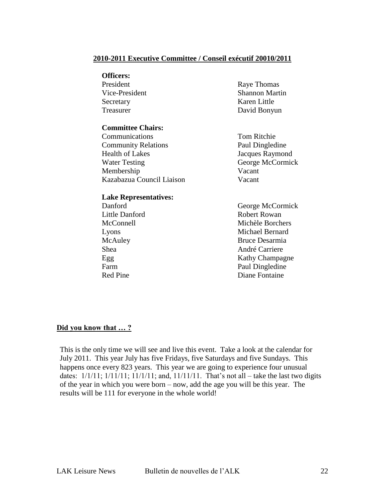#### **2010-2011 Executive Committee / Conseil exécutif 20010/2011**

#### **Officers:**

| President      | Raye Thomas           |
|----------------|-----------------------|
| Vice-President | <b>Shannon Martin</b> |
| Secretary      | Karen Little          |
| Treasurer      | David Bonyun          |

#### **Committee Chairs:**

 Communications Tom Ritchie Community Relations Paul Dingledine Health of Lakes Jacques Raymond Water Testing George McCormick Membership Vacant Kazabazua Council Liaison Vacant

#### **Lake Representatives:**

 Danford George McCormick Little Danford Robert Rowan McConnell Michèle Borchers Lyons Michael Bernard McAuley Bruce Desarmia Shea André Carriere Egg Kathy Champagne Farm Paul Dingledine Red Pine **Diane** Fontaine

#### **Did you know that … ?**

This is the only time we will see and live this event. Take a look at the calendar for July 2011. This year July has five Fridays, five Saturdays and five Sundays. This happens once every 823 years. This year we are going to experience four unusual dates:  $1/1/11$ ;  $1/11/11$ ;  $11/1/11$ ; and,  $11/11/11$ . That's not all – take the last two digits of the year in which you were born – now, add the age you will be this year. The results will be 111 for everyone in the whole world!